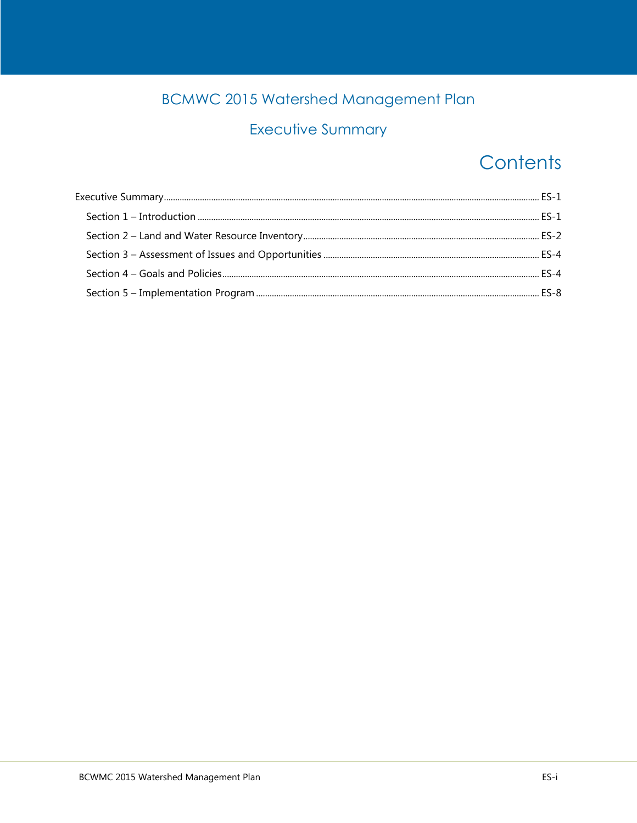## **BCMWC 2015 Watershed Management Plan**

## **Executive Summary**

# Contents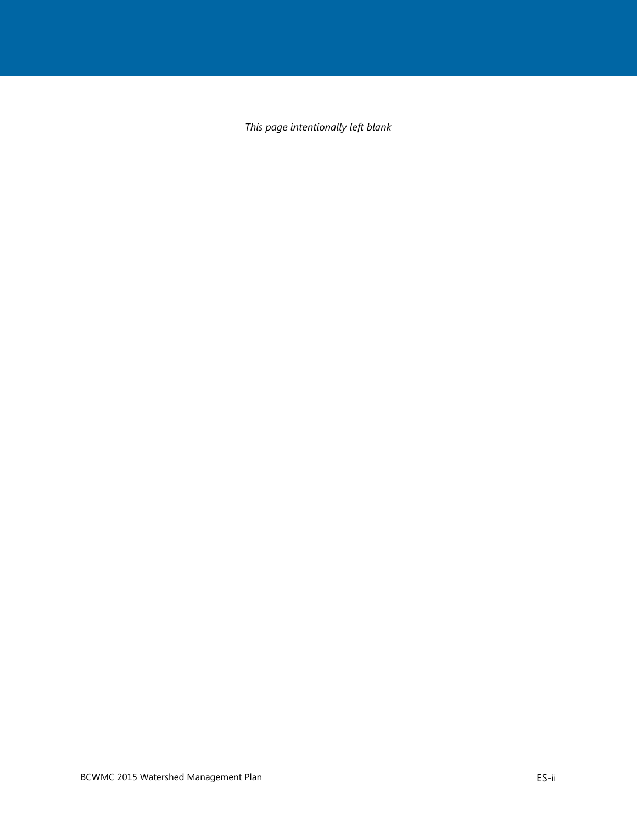*This page intentionally left blank*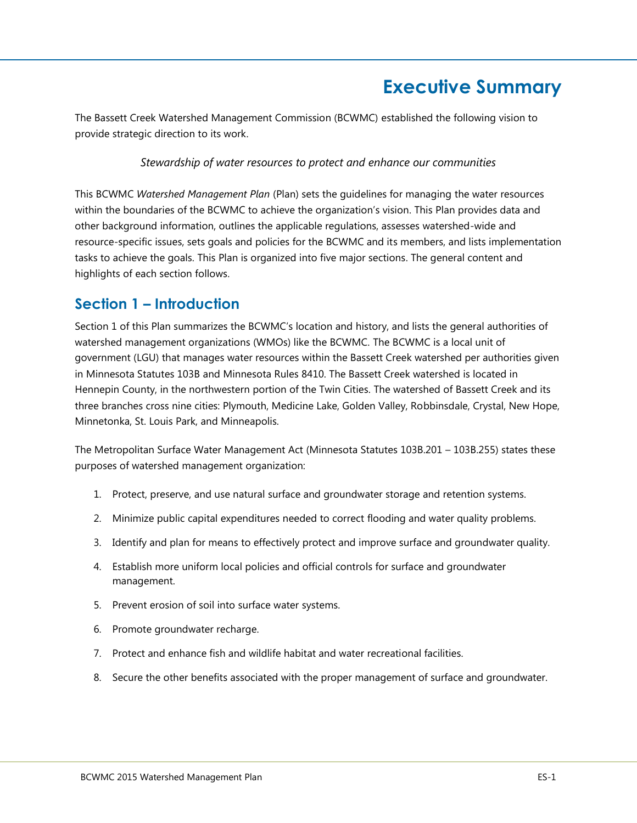# **Executive Summary**

<span id="page-2-0"></span>The Bassett Creek Watershed Management Commission (BCWMC) established the following vision to provide strategic direction to its work.

*Stewardship of water resources to protect and enhance our communities*

This BCWMC *Watershed Management Plan* (Plan) sets the guidelines for managing the water resources within the boundaries of the BCWMC to achieve the organization's vision. This Plan provides data and other background information, outlines the applicable regulations, assesses watershed-wide and resource-specific issues, sets goals and policies for the BCWMC and its members, and lists implementation tasks to achieve the goals. This Plan is organized into five major sections. The general content and highlights of each section follows.

### <span id="page-2-1"></span>**Section 1 – Introduction**

Section 1 of this Plan summarizes the BCWMC's location and history, and lists the general authorities of watershed management organizations (WMOs) like the BCWMC. The BCWMC is a local unit of government (LGU) that manages water resources within the Bassett Creek watershed per authorities given in Minnesota Statutes 103B and Minnesota Rules 8410. The Bassett Creek watershed is located in Hennepin County, in the northwestern portion of the Twin Cities. The watershed of Bassett Creek and its three branches cross nine cities: Plymouth, Medicine Lake, Golden Valley, Robbinsdale, Crystal, New Hope, Minnetonka, St. Louis Park, and Minneapolis.

The Metropolitan Surface Water Management Act (Minnesota Statutes 103B.201 – 103B.255) states these purposes of watershed management organization:

- 1. Protect, preserve, and use natural surface and groundwater storage and retention systems.
- 2. Minimize public capital expenditures needed to correct flooding and water quality problems.
- 3. Identify and plan for means to effectively protect and improve surface and groundwater quality.
- 4. Establish more uniform local policies and official controls for surface and groundwater management.
- 5. Prevent erosion of soil into surface water systems.
- 6. Promote groundwater recharge.
- 7. Protect and enhance fish and wildlife habitat and water recreational facilities.
- 8. Secure the other benefits associated with the proper management of surface and groundwater.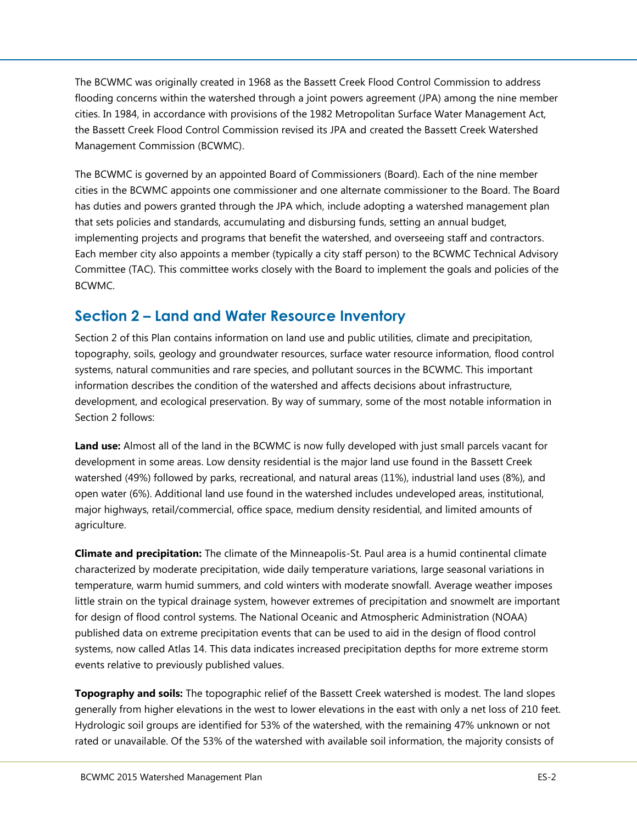The BCWMC was originally created in 1968 as the Bassett Creek Flood Control Commission to address flooding concerns within the watershed through a joint powers agreement (JPA) among the nine member cities. In 1984, in accordance with provisions of the 1982 Metropolitan Surface Water Management Act, the Bassett Creek Flood Control Commission revised its JPA and created the Bassett Creek Watershed Management Commission (BCWMC).

The BCWMC is governed by an appointed Board of Commissioners (Board). Each of the nine member cities in the BCWMC appoints one commissioner and one alternate commissioner to the Board. The Board has duties and powers granted through the JPA which, include adopting a watershed management plan that sets policies and standards, accumulating and disbursing funds, setting an annual budget, implementing projects and programs that benefit the watershed, and overseeing staff and contractors. Each member city also appoints a member (typically a city staff person) to the BCWMC Technical Advisory Committee (TAC). This committee works closely with the Board to implement the goals and policies of the BCWMC.

### <span id="page-3-0"></span>**Section 2 – Land and Water Resource Inventory**

Section 2 of this Plan contains information on land use and public utilities, climate and precipitation, topography, soils, geology and groundwater resources, surface water resource information, flood control systems, natural communities and rare species, and pollutant sources in the BCWMC. This important information describes the condition of the watershed and affects decisions about infrastructure, development, and ecological preservation. By way of summary, some of the most notable information in Section 2 follows:

**Land use:** Almost all of the land in the BCWMC is now fully developed with just small parcels vacant for development in some areas. Low density residential is the major land use found in the Bassett Creek watershed (49%) followed by parks, recreational, and natural areas (11%), industrial land uses (8%), and open water (6%). Additional land use found in the watershed includes undeveloped areas, institutional, major highways, retail/commercial, office space, medium density residential, and limited amounts of agriculture.

**Climate and precipitation:** The climate of the Minneapolis-St. Paul area is a humid continental climate characterized by moderate precipitation, wide daily temperature variations, large seasonal variations in temperature, warm humid summers, and cold winters with moderate snowfall. Average weather imposes little strain on the typical drainage system, however extremes of precipitation and snowmelt are important for design of flood control systems. The National Oceanic and Atmospheric Administration (NOAA) published data on extreme precipitation events that can be used to aid in the design of flood control systems, now called Atlas 14. This data indicates increased precipitation depths for more extreme storm events relative to previously published values.

**Topography and soils:** The topographic relief of the Bassett Creek watershed is modest. The land slopes generally from higher elevations in the west to lower elevations in the east with only a net loss of 210 feet. Hydrologic soil groups are identified for 53% of the watershed, with the remaining 47% unknown or not rated or unavailable. Of the 53% of the watershed with available soil information, the majority consists of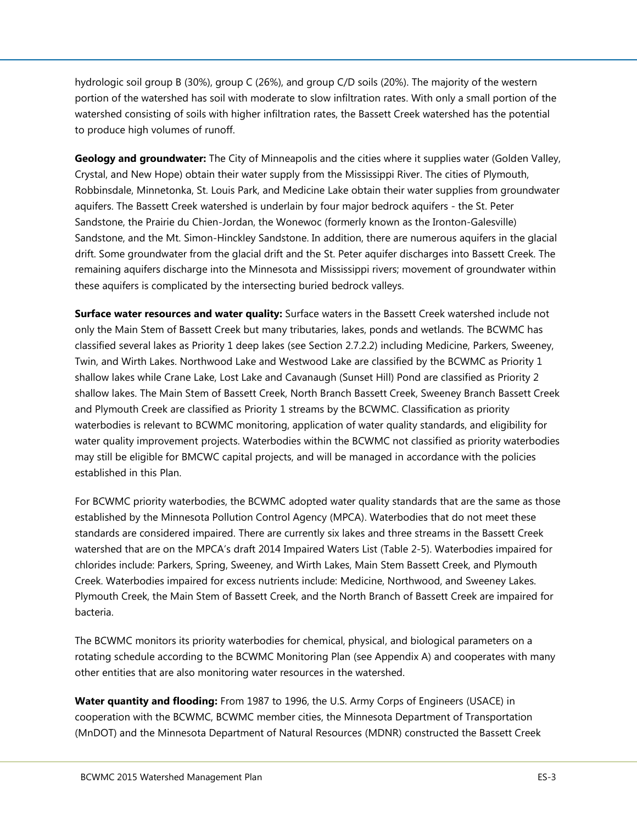hydrologic soil group B (30%), group C (26%), and group C/D soils (20%). The majority of the western portion of the watershed has soil with moderate to slow infiltration rates. With only a small portion of the watershed consisting of soils with higher infiltration rates, the Bassett Creek watershed has the potential to produce high volumes of runoff.

**Geology and groundwater:** The City of Minneapolis and the cities where it supplies water (Golden Valley, Crystal, and New Hope) obtain their water supply from the Mississippi River. The cities of Plymouth, Robbinsdale, Minnetonka, St. Louis Park, and Medicine Lake obtain their water supplies from groundwater aquifers. The Bassett Creek watershed is underlain by four major bedrock aquifers - the St. Peter Sandstone, the Prairie du Chien-Jordan, the Wonewoc (formerly known as the Ironton-Galesville) Sandstone, and the Mt. Simon-Hinckley Sandstone. In addition, there are numerous aquifers in the glacial drift. Some groundwater from the glacial drift and the St. Peter aquifer discharges into Bassett Creek. The remaining aquifers discharge into the Minnesota and Mississippi rivers; movement of groundwater within these aquifers is complicated by the intersecting buried bedrock valleys.

**Surface water resources and water quality:** Surface waters in the Bassett Creek watershed include not only the Main Stem of Bassett Creek but many tributaries, lakes, ponds and wetlands. The BCWMC has classified several lakes as Priority 1 deep lakes (see Section 2.7.2.2) including Medicine, Parkers, Sweeney, Twin, and Wirth Lakes. Northwood Lake and Westwood Lake are classified by the BCWMC as Priority 1 shallow lakes while Crane Lake, Lost Lake and Cavanaugh (Sunset Hill) Pond are classified as Priority 2 shallow lakes. The Main Stem of Bassett Creek, North Branch Bassett Creek, Sweeney Branch Bassett Creek and Plymouth Creek are classified as Priority 1 streams by the BCWMC. Classification as priority waterbodies is relevant to BCWMC monitoring, application of water quality standards, and eligibility for water quality improvement projects. Waterbodies within the BCWMC not classified as priority waterbodies may still be eligible for BMCWC capital projects, and will be managed in accordance with the policies established in this Plan.

For BCWMC priority waterbodies, the BCWMC adopted water quality standards that are the same as those established by the Minnesota Pollution Control Agency (MPCA). Waterbodies that do not meet these standards are considered impaired. There are currently six lakes and three streams in the Bassett Creek watershed that are on the MPCA's draft 2014 Impaired Waters List (Table 2-5). Waterbodies impaired for chlorides include: Parkers, Spring, Sweeney, and Wirth Lakes, Main Stem Bassett Creek, and Plymouth Creek. Waterbodies impaired for excess nutrients include: Medicine, Northwood, and Sweeney Lakes. Plymouth Creek, the Main Stem of Bassett Creek, and the North Branch of Bassett Creek are impaired for bacteria.

The BCWMC monitors its priority waterbodies for chemical, physical, and biological parameters on a rotating schedule according to the BCWMC Monitoring Plan (see Appendix A) and cooperates with many other entities that are also monitoring water resources in the watershed.

**Water quantity and flooding:** From 1987 to 1996, the U.S. Army Corps of Engineers (USACE) in cooperation with the BCWMC, BCWMC member cities, the Minnesota Department of Transportation (MnDOT) and the Minnesota Department of Natural Resources (MDNR) constructed the Bassett Creek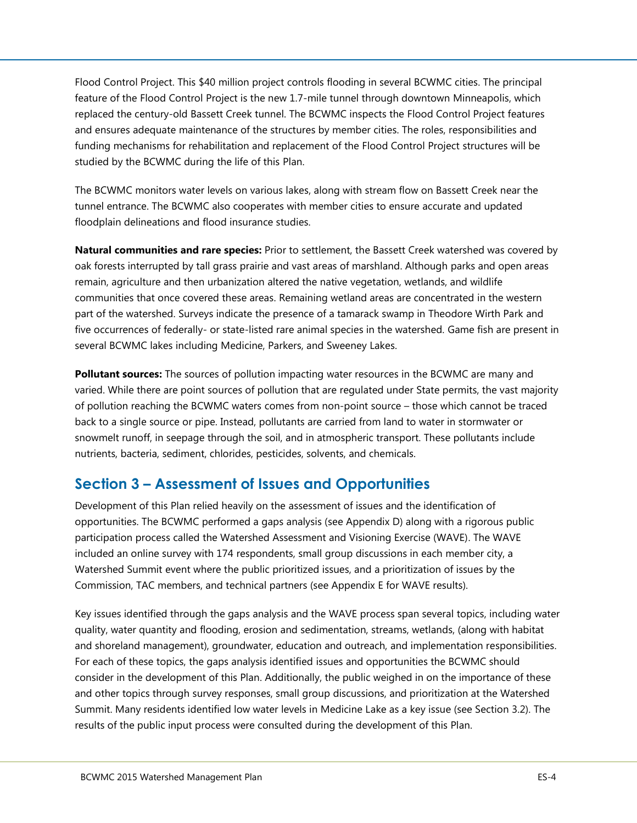Flood Control Project. This \$40 million project controls flooding in several BCWMC cities. The principal feature of the Flood Control Project is the new 1.7-mile tunnel through downtown Minneapolis, which replaced the century-old Bassett Creek tunnel. The BCWMC inspects the Flood Control Project features and ensures adequate maintenance of the structures by member cities. The roles, responsibilities and funding mechanisms for rehabilitation and replacement of the Flood Control Project structures will be studied by the BCWMC during the life of this Plan.

The BCWMC monitors water levels on various lakes, along with stream flow on Bassett Creek near the tunnel entrance. The BCWMC also cooperates with member cities to ensure accurate and updated floodplain delineations and flood insurance studies.

**Natural communities and rare species:** Prior to settlement, the Bassett Creek watershed was covered by oak forests interrupted by tall grass prairie and vast areas of marshland. Although parks and open areas remain, agriculture and then urbanization altered the native vegetation, wetlands, and wildlife communities that once covered these areas. Remaining wetland areas are concentrated in the western part of the watershed. Surveys indicate the presence of a tamarack swamp in Theodore Wirth Park and five occurrences of federally- or state-listed rare animal species in the watershed. Game fish are present in several BCWMC lakes including Medicine, Parkers, and Sweeney Lakes.

**Pollutant sources:** The sources of pollution impacting water resources in the BCWMC are many and varied. While there are point sources of pollution that are regulated under State permits, the vast majority of pollution reaching the BCWMC waters comes from non-point source – those which cannot be traced back to a single source or pipe. Instead, pollutants are carried from land to water in stormwater or snowmelt runoff, in seepage through the soil, and in atmospheric transport. These pollutants include nutrients, bacteria, sediment, chlorides, pesticides, solvents, and chemicals.

### <span id="page-5-0"></span>**Section 3 – Assessment of Issues and Opportunities**

Development of this Plan relied heavily on the assessment of issues and the identification of opportunities. The BCWMC performed a gaps analysis (see Appendix D) along with a rigorous public participation process called the Watershed Assessment and Visioning Exercise (WAVE). The WAVE included an online survey with 174 respondents, small group discussions in each member city, a Watershed Summit event where the public prioritized issues, and a prioritization of issues by the Commission, TAC members, and technical partners (see Appendix E for WAVE results).

Key issues identified through the gaps analysis and the WAVE process span several topics, including water quality, water quantity and flooding, erosion and sedimentation, streams, wetlands, (along with habitat and shoreland management), groundwater, education and outreach, and implementation responsibilities. For each of these topics, the gaps analysis identified issues and opportunities the BCWMC should consider in the development of this Plan. Additionally, the public weighed in on the importance of these and other topics through survey responses, small group discussions, and prioritization at the Watershed Summit. Many residents identified low water levels in Medicine Lake as a key issue (see Section 3.2). The results of the public input process were consulted during the development of this Plan.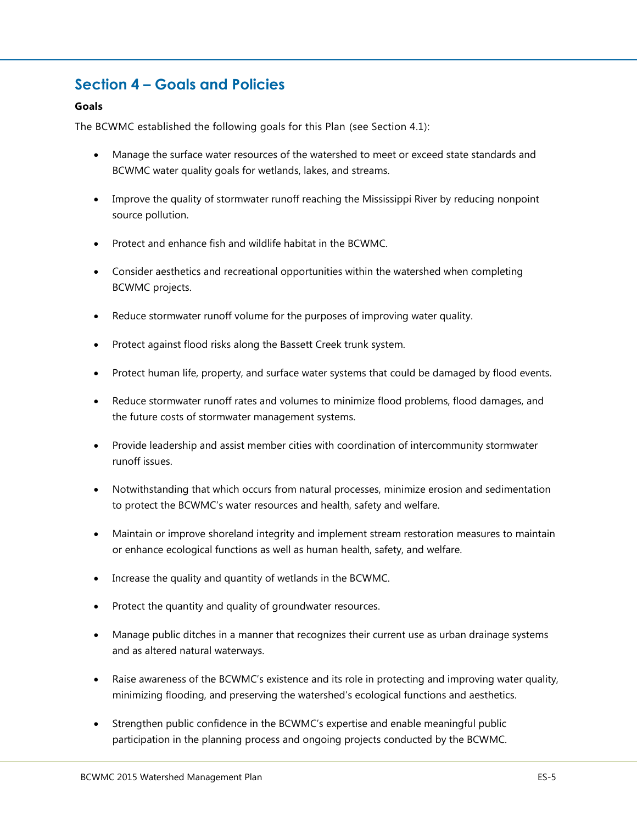### <span id="page-6-0"></span>**Section 4 – Goals and Policies**

#### **Goals**

The BCWMC established the following goals for this Plan (see Section 4.1):

- Manage the surface water resources of the watershed to meet or exceed state standards and BCWMC water quality goals for wetlands, lakes, and streams.
- Improve the quality of stormwater runoff reaching the Mississippi River by reducing nonpoint source pollution.
- Protect and enhance fish and wildlife habitat in the BCWMC.
- Consider aesthetics and recreational opportunities within the watershed when completing BCWMC projects.
- Reduce stormwater runoff volume for the purposes of improving water quality.
- Protect against flood risks along the Bassett Creek trunk system.
- Protect human life, property, and surface water systems that could be damaged by flood events.
- Reduce stormwater runoff rates and volumes to minimize flood problems, flood damages, and the future costs of stormwater management systems.
- Provide leadership and assist member cities with coordination of intercommunity stormwater runoff issues.
- Notwithstanding that which occurs from natural processes, minimize erosion and sedimentation to protect the BCWMC's water resources and health, safety and welfare.
- Maintain or improve shoreland integrity and implement stream restoration measures to maintain or enhance ecological functions as well as human health, safety, and welfare.
- Increase the quality and quantity of wetlands in the BCWMC.
- Protect the quantity and quality of groundwater resources.
- Manage public ditches in a manner that recognizes their current use as urban drainage systems and as altered natural waterways.
- Raise awareness of the BCWMC's existence and its role in protecting and improving water quality, minimizing flooding, and preserving the watershed's ecological functions and aesthetics.
- Strengthen public confidence in the BCWMC's expertise and enable meaningful public participation in the planning process and ongoing projects conducted by the BCWMC.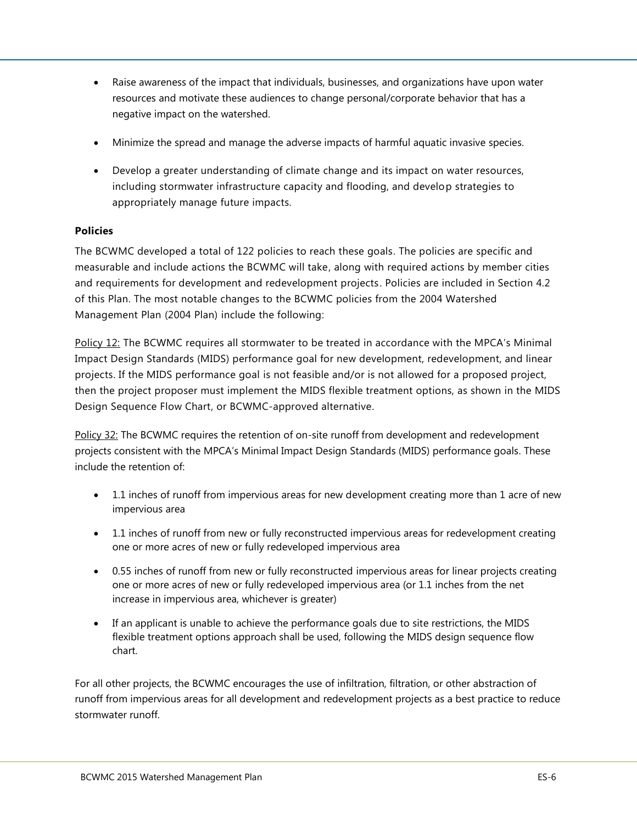- Raise awareness of the impact that individuals, businesses, and organizations have upon water resources and motivate these audiences to change personal/corporate behavior that has a negative impact on the watershed.
- Minimize the spread and manage the adverse impacts of harmful aquatic invasive species.
- Develop a greater understanding of climate change and its impact on water resources, including stormwater infrastructure capacity and flooding, and develop strategies to appropriately manage future impacts.

#### **Policies**

The BCWMC developed a total of 122 policies to reach these goals. The policies are specific and measurable and include actions the BCWMC will take, along with required actions by member cities and requirements for development and redevelopment projects. Policies are included in Section 4.2 of this Plan. The most notable changes to the BCWMC policies from the 2004 Watershed Management Plan (2004 Plan) include the following:

Policy 12: The BCWMC requires all stormwater to be treated in accordance with the MPCA's Minimal Impact Design Standards (MIDS) performance goal for new development, redevelopment, and linear projects. If the MIDS performance goal is not feasible and/or is not allowed for a proposed project, then the project proposer must implement the MIDS flexible treatment options, as shown in the MIDS Design Sequence Flow Chart, or BCWMC-approved alternative.

Policy 32: The BCWMC requires the retention of on-site runoff from development and redevelopment projects consistent with the MPCA's Minimal Impact Design Standards (MIDS) performance goals. These include the retention of:

- 1.1 inches of runoff from impervious areas for new development creating more than 1 acre of new impervious area
- 1.1 inches of runoff from new or fully reconstructed impervious areas for redevelopment creating one or more acres of new or fully redeveloped impervious area
- 0.55 inches of runoff from new or fully reconstructed impervious areas for linear projects creating one or more acres of new or fully redeveloped impervious area (or 1.1 inches from the net increase in impervious area, whichever is greater)
- If an applicant is unable to achieve the performance goals due to site restrictions, the MIDS flexible treatment options approach shall be used, following the MIDS design sequence flow chart.

For all other projects, the BCWMC encourages the use of infiltration, filtration, or other abstraction of runoff from impervious areas for all development and redevelopment projects as a best practice to reduce stormwater runoff.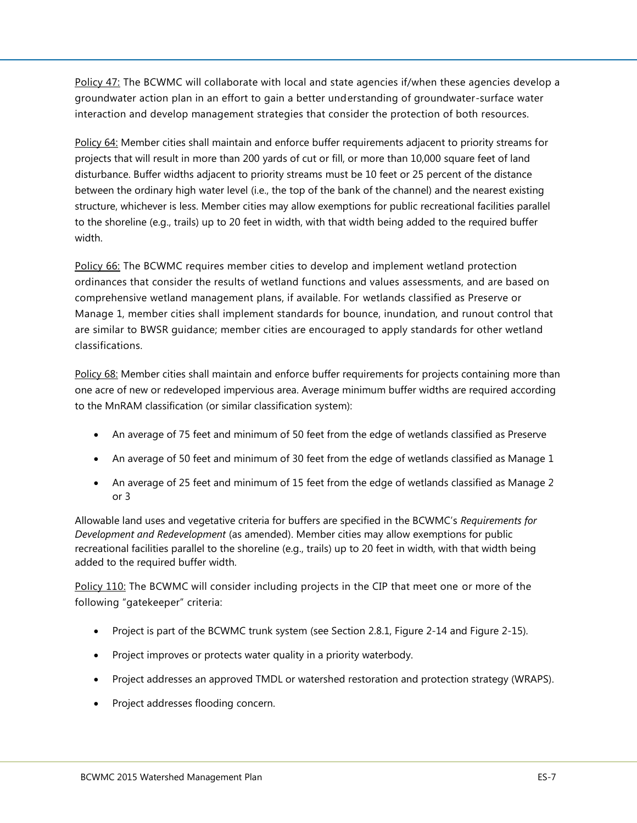Policy 47: The BCWMC will collaborate with local and state agencies if/when these agencies develop a groundwater action plan in an effort to gain a better understanding of groundwater-surface water interaction and develop management strategies that consider the protection of both resources.

Policy 64: Member cities shall maintain and enforce buffer requirements adjacent to priority streams for projects that will result in more than 200 yards of cut or fill, or more than 10,000 square feet of land disturbance. Buffer widths adjacent to priority streams must be 10 feet or 25 percent of the distance between the ordinary high water level (i.e., the top of the bank of the channel) and the nearest existing structure, whichever is less. Member cities may allow exemptions for public recreational facilities parallel to the shoreline (e.g., trails) up to 20 feet in width, with that width being added to the required buffer width.

Policy 66: The BCWMC requires member cities to develop and implement wetland protection ordinances that consider the results of wetland functions and values assessments, and are based on comprehensive wetland management plans, if available. For wetlands classified as Preserve or Manage 1, member cities shall implement standards for bounce, inundation, and runout control that are similar to BWSR guidance; member cities are encouraged to apply standards for other wetland classifications.

Policy 68: Member cities shall maintain and enforce buffer requirements for projects containing more than one acre of new or redeveloped impervious area. Average minimum buffer widths are required according to the MnRAM classification (or similar classification system):

- An average of 75 feet and minimum of 50 feet from the edge of wetlands classified as Preserve
- An average of 50 feet and minimum of 30 feet from the edge of wetlands classified as Manage 1
- An average of 25 feet and minimum of 15 feet from the edge of wetlands classified as Manage 2 or 3

Allowable land uses and vegetative criteria for buffers are specified in the BCWMC's *Requirements for Development and Redevelopment* (as amended). Member cities may allow exemptions for public recreational facilities parallel to the shoreline (e.g., trails) up to 20 feet in width, with that width being added to the required buffer width.

Policy 110: The BCWMC will consider including projects in the CIP that meet one or more of the following "gatekeeper" criteria:

- Project is part of the BCWMC trunk system (see Section 2.8.1, Figure 2-14 and Figure 2-15).
- Project improves or protects water quality in a priority waterbody.
- Project addresses an approved TMDL or watershed restoration and protection strategy (WRAPS).
- Project addresses flooding concern.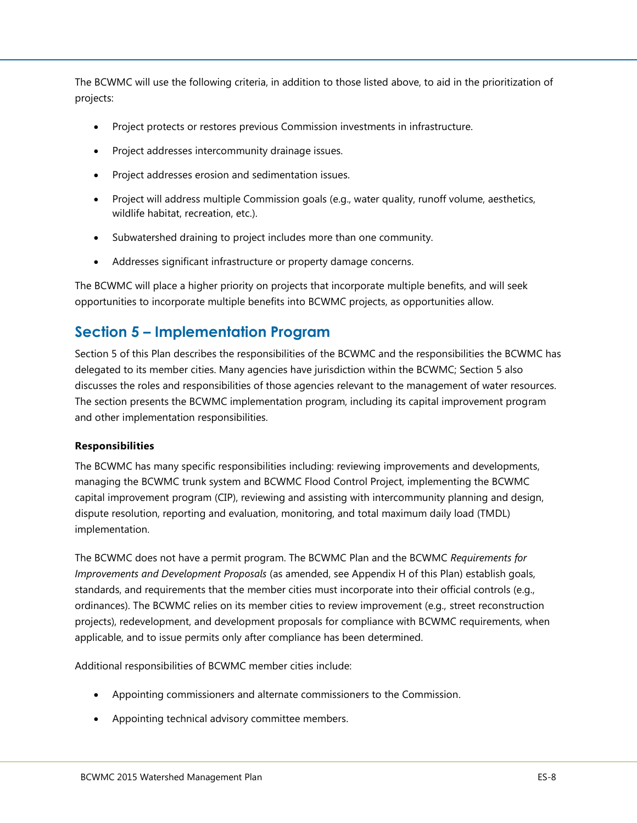The BCWMC will use the following criteria, in addition to those listed above, to aid in the prioritization of projects:

- Project protects or restores previous Commission investments in infrastructure.
- Project addresses intercommunity drainage issues.
- Project addresses erosion and sedimentation issues.
- Project will address multiple Commission goals (e.g., water quality, runoff volume, aesthetics, wildlife habitat, recreation, etc.).
- Subwatershed draining to project includes more than one community.
- Addresses significant infrastructure or property damage concerns.

The BCWMC will place a higher priority on projects that incorporate multiple benefits, and will seek opportunities to incorporate multiple benefits into BCWMC projects, as opportunities allow.

### <span id="page-9-0"></span>**Section 5 – Implementation Program**

Section 5 of this Plan describes the responsibilities of the BCWMC and the responsibilities the BCWMC has delegated to its member cities. Many agencies have jurisdiction within the BCWMC; Section 5 also discusses the roles and responsibilities of those agencies relevant to the management of water resources. The section presents the BCWMC implementation program, including its capital improvement program and other implementation responsibilities.

#### **Responsibilities**

The BCWMC has many specific responsibilities including: reviewing improvements and developments, managing the BCWMC trunk system and BCWMC Flood Control Project, implementing the BCWMC capital improvement program (CIP), reviewing and assisting with intercommunity planning and design, dispute resolution, reporting and evaluation, monitoring, and total maximum daily load (TMDL) implementation.

The BCWMC does not have a permit program. The BCWMC Plan and the BCWMC *Requirements for Improvements and Development Proposals* (as amended, see Appendix H of this Plan) establish goals, standards, and requirements that the member cities must incorporate into their official controls (e.g., ordinances). The BCWMC relies on its member cities to review improvement (e.g., street reconstruction projects), redevelopment, and development proposals for compliance with BCWMC requirements, when applicable, and to issue permits only after compliance has been determined.

Additional responsibilities of BCWMC member cities include:

- Appointing commissioners and alternate commissioners to the Commission.
- Appointing technical advisory committee members.